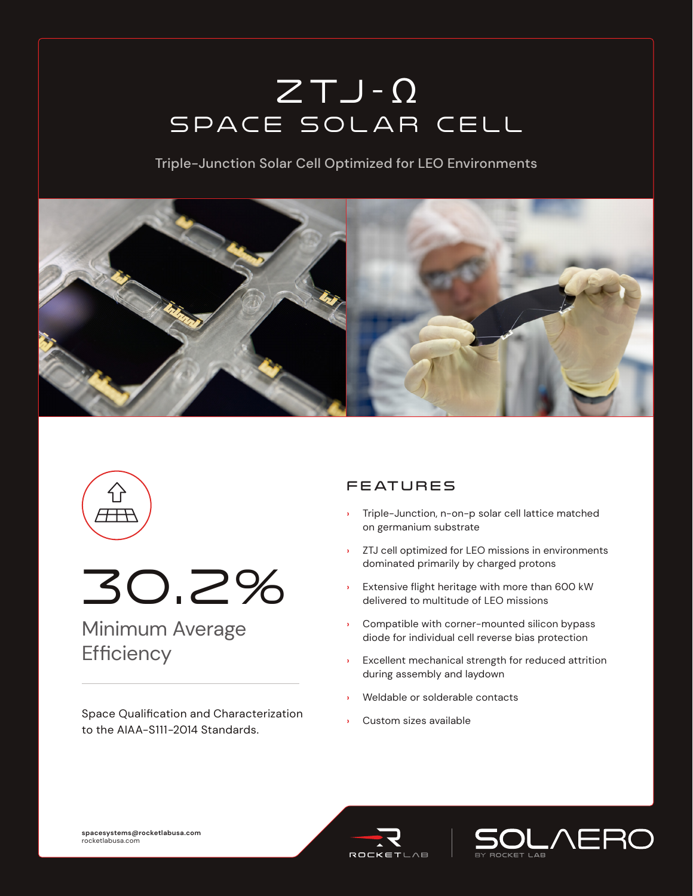# $ZTJ - \Omega$ Space Solar Cell

Triple-Junction Solar Cell Optimized for LEO Environments





30.2%

## Minimum Average **Efficiency**

Space Qualification and Characterization to the AIAA-S111-2014 Standards.

### **FEATURES**

- **›** Triple-Junction, n-on-p solar cell lattice matched on germanium substrate
- **›** ZTJ cell optimized for LEO missions in environments dominated primarily by charged protons
- **›** Extensive flight heritage with more than 600 kW delivered to multitude of LEO missions
- **Compatible with corner-mounted silicon bypass** diode for individual cell reverse bias protection
- **›** Excellent mechanical strength for reduced attrition during assembly and laydown
- **›** Weldable or solderable contacts
- **›** Custom sizes available